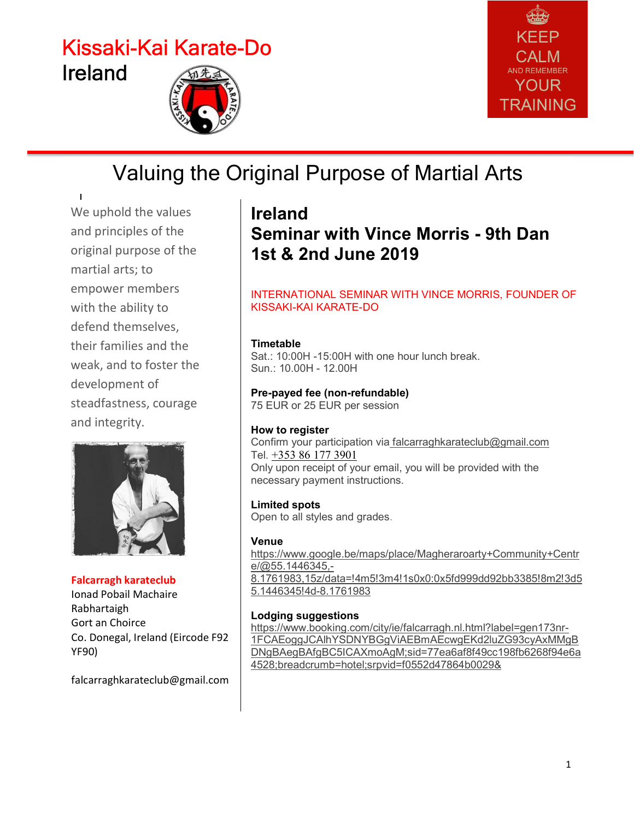# Kissaki-Kai Karate-Do Ireland





## Valuing the Original Purpose of Martial Arts

We uphold the values and principles of the original purpose of the martial arts; to empower members with the ability to defend themselves, their families and the weak, and to foster the development of steadfastness, courage and integrity.



Falcarragh karateclub Ionad Pobail Machaire Rabhartaigh Gort an Choirce Co. Donegal, Ireland (Eircode F92 YF90)

falcarraghkarateclub@gmail.com

## Ireland Seminar with Vince Morris - 9th Dan 1st & 2nd June 2019

#### INTERNATIONAL SEMINAR WITH VINCE MORRIS, FOUNDER OF KISSAKI-KAI KARATE-DO

#### **Timetable**

Sat.: 10:00H -15:00H with one hour lunch break. Sun.: 10.00H - 12.00H

### Pre-payed fee (non-refundable)

75 EUR or 25 EUR per session

#### How to register

Confirm your participation via falcarraghkarateclub@gmail.com Tel. +353 86 177 3901 Only upon receipt of your email, you will be provided with the necessary payment instructions.

#### Limited spots

Open to all styles and grades.

#### Venue

https://www.google.be/maps/place/Magheraroarty+Community+Centr e/@55.1446345,- 8.1761983,15z/data=!4m5!3m4!1s0x0:0x5fd999dd92bb3385!8m2!3d5 5.1446345!4d-8.1761983

#### Lodging suggestions

https://www.booking.com/city/ie/falcarragh.nl.html?label=gen173nr-1FCAEoggJCAlhYSDNYBGgViAEBmAEcwgEKd2luZG93cyAxMMgB DNgBAegBAfgBC5ICAXmoAgM;sid=77ea6af8f49cc198fb6268f94e6a 4528;breadcrumb=hotel;srpvid=f0552d47864b0029&